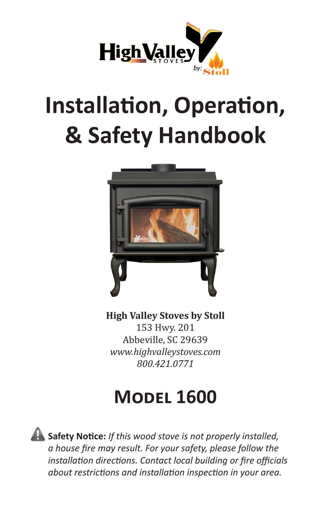

# **Installation, Operation, & Safety Handbook**



**High Valley Stoves by Stoll**

153 Hwy. 201 Abbeville, SC 29639 *www.highvalleystoves.com 800.421.0771*

## **Model 1600**

**Safety Notice:** *If this wood stove is not properly installed, a house fire may result. For your safety, please follow the installation directions. Contact local building or fire officials about restrictions and installation inspection in your area.*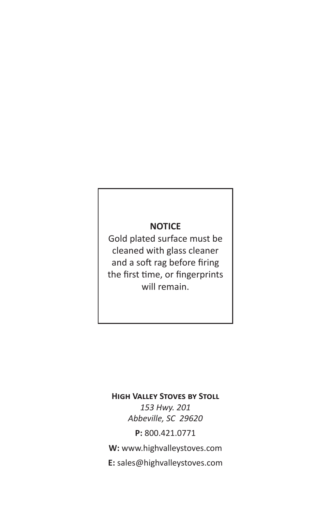### **NOTICE**

Gold plated surface must be cleaned with glass cleaner and a soft rag before firing the first time, or fingerprints will remain.

#### **High Valley Stoves by Stoll**

*153 Hwy. 201 Abbeville, SC 29620*

**P:** 800.421.0771

**W:** www.highvalleystoves.com

**E:** sales@highvalleystoves.com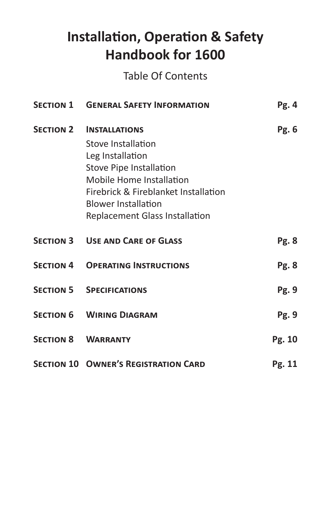## **Installation, Operation & Safety Handbook for 1600**

Table Of Contents

| <b>SECTION 1 GENERAL SAFETY INFORMATION</b>                                                                                                                                                                                                           | Pg. 4        |
|-------------------------------------------------------------------------------------------------------------------------------------------------------------------------------------------------------------------------------------------------------|--------------|
| <b>SECTION 2 INSTALLATIONS</b><br>Stove Installation<br>Leg Installation<br><b>Stove Pipe Installation</b><br>Mobile Home Installation<br>Firebrick & Fireblanket Installation<br><b>Blower Installation</b><br><b>Replacement Glass Installation</b> | Pg. 6        |
| <b>SECTION 3 USE AND CARE OF GLASS</b>                                                                                                                                                                                                                | <b>Pg. 8</b> |
| <b>SECTION 4 OPERATING INSTRUCTIONS</b>                                                                                                                                                                                                               | <b>Pg. 8</b> |
| <b>SECTION 5 SPECIFICATIONS</b>                                                                                                                                                                                                                       | Pg. 9        |
| <b>SECTION 6 WIRING DIAGRAM</b>                                                                                                                                                                                                                       | Pg. 9        |
| <b>SECTION 8 WARRANTY</b>                                                                                                                                                                                                                             | Pg. 10       |
| <b>SECTION 10 OWNER'S REGISTRATION CARD</b>                                                                                                                                                                                                           | Pg. 11       |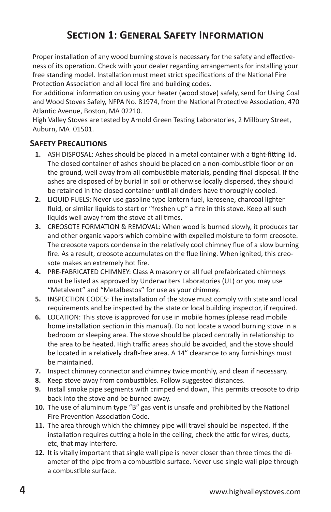## **Section 1: General Safety Information**

Proper installation of any wood burning stove is necessary for the safety and effectiveness of its operation. Check with your dealer regarding arrangements for installing your free standing model. Installation must meet strict specifications of the National Fire Protection Association and all local fire and building codes.

For additional information on using your heater (wood stove) safely, send for Using Coal and Wood Stoves Safely, NFPA No. 81974, from the National Protective Association, 470 Atlantic Avenue, Boston, MA 02210.

High Valley Stoves are tested by Arnold Green Testing Laboratories, 2 Millbury Street, Auburn, MA 01501.

#### **Safety Precautions**

- **1.** ASH DISPOSAL: Ashes should be placed in a metal container with a tight-fitting lid. The closed container of ashes should be placed on a non-combustible floor or on the ground, well away from all combustible materials, pending final disposal. If the ashes are disposed of by burial in soil or otherwise locally dispersed, they should be retained in the closed container until all cinders have thoroughly cooled.
- **2.** LIQUID FUELS: Never use gasoline type lantern fuel, kerosene, charcoal lighter fluid, or similar liquids to start or "freshen up" a fire in this stove. Keep all such liquids well away from the stove at all times.
- **3.** CREOSOTE FORMATION & REMOVAL: When wood is burned slowly, it produces tar and other organic vapors which combine with expelled moisture to form creosote. The creosote vapors condense in the relatively cool chimney flue of a slow burning fire. As a result, creosote accumulates on the flue lining. When ignited, this creosote makes an extremely hot fire.
- **4.** PRE-FABRICATED CHIMNEY: Class A masonry or all fuel prefabricated chimneys must be listed as approved by Underwriters Laboratories (UL) or you may use "Metalvent" and "Metalbestos" for use as your chimney.
- **5.** INSPECTION CODES: The installation of the stove must comply with state and local requirements and be inspected by the state or local building inspector, if required.
- **6.** LOCATION: This stove is approved for use in mobile homes (please read mobile home installation section in this manual). Do not locate a wood burning stove in a bedroom or sleeping area. The stove should be placed centrally in relationship to the area to be heated. High traffic areas should be avoided, and the stove should be located in a relatively draft-free area. A 14" clearance to any furnishings must be maintained.
- **7.** Inspect chimney connector and chimney twice monthly, and clean if necessary.
- **8.** Keep stove away from combustibles. Follow suggested distances.
- **9.** Install smoke pipe segments with crimped end down, This permits creosote to drip back into the stove and be burned away.
- **10.** The use of aluminum type "B" gas vent is unsafe and prohibited by the National Fire Prevention Association Code.
- **11.** The area through which the chimney pipe will travel should be inspected. If the installation requires cutting a hole in the ceiling, check the attic for wires, ducts, etc, that may interfere.
- **12.** It is vitally important that single wall pipe is never closer than three times the diameter of the pipe from a combustible surface. Never use single wall pipe through a combustible surface.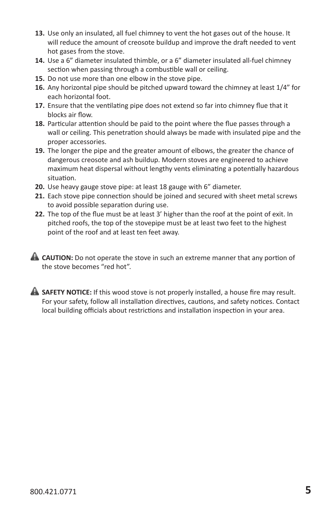- **13.** Use only an insulated, all fuel chimney to vent the hot gases out of the house. It will reduce the amount of creosote buildup and improve the draft needed to vent hot gases from the stove.
- **14.** Use a 6" diameter insulated thimble, or a 6" diameter insulated all-fuel chimney section when passing through a combustible wall or ceiling.
- **15.** Do not use more than one elbow in the stove pipe.
- **16.** Any horizontal pipe should be pitched upward toward the chimney at least 1/4" for each horizontal foot.
- **17.** Ensure that the ventilating pipe does not extend so far into chimney flue that it blocks air flow.
- **18.** Particular attention should be paid to the point where the flue passes through a wall or ceiling. This penetration should always be made with insulated pipe and the proper accessories.
- **19.** The longer the pipe and the greater amount of elbows, the greater the chance of dangerous creosote and ash buildup. Modern stoves are engineered to achieve maximum heat dispersal without lengthy vents eliminating a potentially hazardous situation.
- **20.** Use heavy gauge stove pipe: at least 18 gauge with 6" diameter.
- **21.** Each stove pipe connection should be joined and secured with sheet metal screws to avoid possible separation during use.
- **22.** The top of the flue must be at least 3' higher than the roof at the point of exit. In pitched roofs, the top of the stovepipe must be at least two feet to the highest point of the roof and at least ten feet away.
- **CAUTION:** Do not operate the stove in such an extreme manner that any portion of the stove becomes "red hot".
- **SAFETY NOTICE:** If this wood stove is not properly installed, a house fire may result. For your safety, follow all installation directives, cautions, and safety notices. Contact local building officials about restrictions and installation inspection in your area.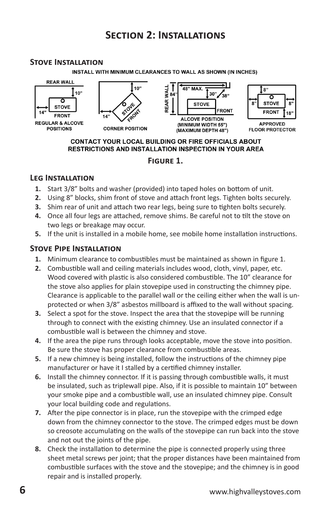## **Section 2: Installations**

#### **Stove Installation**

INSTALL WITH MINIMUM CLEARANCES TO WALL AS SHOWN (IN INCHES)



#### CONTACT YOUR LOCAL BUILDING OR FIRE OFFICIALS ABOUT **RESTRICTIONS AND INSTALLATION INSPECTION IN YOUR AREA**

#### **Figure 1.**

#### **Leg Installation**

- **1.** Start 3/8" bolts and washer (provided) into taped holes on bottom of unit.
- **2.** Using 8" blocks, shim front of stove and attach front legs. Tighten bolts securely.
- **3.** Shim rear of unit and attach two rear legs, being sure to tighten bolts securely.
- **4.** Once all four legs are attached, remove shims. Be careful not to tilt the stove on two legs or breakage may occur.
- **5.** If the unit is installed in a mobile home, see mobile home installation instructions.

#### **Stove Pipe Installation**

- **1.** Minimum clearance to combustibles must be maintained as shown in figure 1.
- **2.** Combustible wall and ceiling materials includes wood, cloth, vinyl, paper, etc. Wood covered with plastic is also considered combustible. The 10" clearance for the stove also applies for plain stovepipe used in constructing the chimney pipe. Clearance is applicable to the parallel wall or the ceiling either when the wall is unprotected or when 3/8" asbestos millboard is affixed to the wall without spacing.
- **3.** Select a spot for the stove. Inspect the area that the stovepipe will be running through to connect with the existing chimney. Use an insulated connector if a combustible wall is between the chimney and stove.
- **4.** If the area the pipe runs through looks acceptable, move the stove into position. Be sure the stove has proper clearance from combustible areas.
- **5.** If a new chimney is being installed, follow the instructions of the chimney pipe manufacturer or have it I stalled by a certified chimney installer.
- **6.** Install the chimney connector. If it is passing through combustible walls, it must be insulated, such as triplewall pipe. Also, if it is possible to maintain 10" between your smoke pipe and a combustible wall, use an insulated chimney pipe. Consult your local building code and regulations.
- **7.** After the pipe connector is in place, run the stovepipe with the crimped edge down from the chimney connector to the stove. The crimped edges must be down so creosote accumulating on the walls of the stovepipe can run back into the stove and not out the joints of the pipe.
- **8.** Check the installation to determine the pipe is connected properly using three sheet metal screws per joint; that the proper distances have been maintained from combustible surfaces with the stove and the stovepipe; and the chimney is in good repair and is installed properly.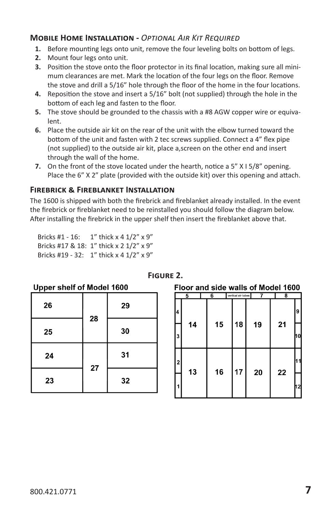#### **Mobile Home Installation -** *Optional Air Kit Required*

- **1.** Before mounting legs onto unit, remove the four leveling bolts on bottom of legs.
- **2.** Mount four legs onto unit.
- **3.** Position the stove onto the floor protector in its final location, making sure all minimum clearances are met. Mark the location of the four legs on the floor. Remove the stove and drill a 5/16" hole through the floor of the home in the four locations.
- **4.** Reposition the stove and insert a 5/16" bolt (not supplied) through the hole in the bottom of each leg and fasten to the floor.
- **5.** The stove should be grounded to the chassis with a #8 AGW copper wire or equivalent.
- **6.** Place the outside air kit on the rear of the unit with the elbow turned toward the bottom of the unit and fasten with 2 tec screws supplied. Connect a 4" flex pipe (not supplied) to the outside air kit, place a,screen on the other end and insert through the wall of the home.
- **7.** On the front of the stove located under the hearth, notice a 5" X I 5/8" opening. Place the 6" X 2" plate (provided with the outside kit) over this opening and attach.

#### **Firebrick & Fireblanket Installation**

The 1600 is shipped with both the firebrick and fireblanket already installed. In the event the firebrick or fireblanket need to be reinstalled you should follow the diagram below. After installing the firebrick in the upper shelf then insert the fireblanket above that.

| Bricks #1 - 16: | 1" thick $x$ 4 1/2" $x$ 9"              |
|-----------------|-----------------------------------------|
|                 | Bricks #17 & 18: 1" thick x 2 1/2" x 9" |
|                 | Bricks #19 - 32: 1" thick x 4 1/2" x 9" |

 $\frac{1}{2}$   $\frac{1}{2}$   $\frac{1}{2}$   $\frac{1}{2}$   $\frac{1}{2}$   $\frac{1}{2}$   $\frac{1}{2}$   $\frac{1}{2}$   $\frac{1}{2}$   $\frac{1}{2}$   $\frac{1}{2}$   $\frac{1}{2}$   $\frac{1}{2}$   $\frac{1}{2}$   $\frac{1}{2}$   $\frac{1}{2}$   $\frac{1}{2}$   $\frac{1}{2}$   $\frac{1}{2}$   $\frac{1}{2}$   $\frac{1}{2}$   $\frac{1}{2}$ 

| Upper sneit of Model Touu |    |    |  |
|---------------------------|----|----|--|
| 26                        | 28 | 29 |  |
| 25                        |    | 30 |  |
| 24                        | 27 | 31 |  |
| 23                        |    | 32 |  |

#### **Figure 2.**

Floor and side walls of Model 1600

|                         | 5  | 6  | vertical air tubes | 7  |    | 8 |    |
|-------------------------|----|----|--------------------|----|----|---|----|
| 4                       |    |    |                    |    |    |   | 9  |
| 3                       | 14 | 15 | 18                 | 19 | 21 |   | 10 |
| $\overline{\mathbf{2}}$ | 13 | 16 | 17                 | 20 | 22 |   |    |
| 1                       |    |    |                    |    |    |   | 12 |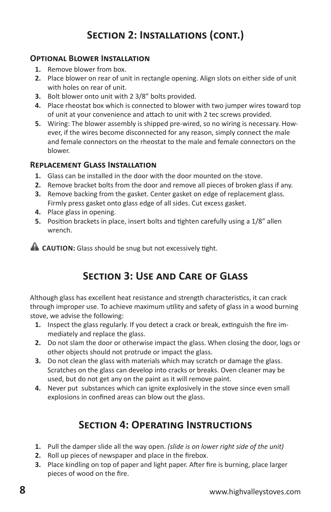## **Section 2: Installations (cont.)**

#### **Optional Blower Installation**

- **1.** Remove blower from box.
- **2.** Place blower on rear of unit in rectangle opening. Align slots on either side of unit with holes on rear of unit.
- **3.** Bolt blower onto unit with 2 3/8" bolts provided.
- **4.** Place rheostat box which is connected to blower with two jumper wires toward top of unit at your convenience and attach to unit with 2 tec screws provided.
- **5.** Wiring: The blower assembly is shipped pre-wired, so no wiring is necessary. However, if the wires become disconnected for any reason, simply connect the male and female connectors on the rheostat to the male and female connectors on the blower.

#### **Replacement Glass Installation**

- **1.** Glass can be installed in the door with the door mounted on the stove.
- **2.** Remove bracket bolts from the door and remove all pieces of broken glass if any.
- **3.** Remove backing from the gasket. Center gasket on edge of replacement glass. Firmly press gasket onto glass edge of all sides. Cut excess gasket.
- **4.** Place glass in opening.
- **5.** Position brackets in place, insert bolts and tighten carefully using a 1/8" allen wrench.

**CAUTION:** Glass should be snug but not excessively tight.

## **Section 3: Use and Care of Glass**

Although glass has excellent heat resistance and strength characteristics, it can crack through improper use. To achieve maximum utility and safety of glass in a wood burning stove, we advise the following:

- **1.** Inspect the glass regularly. If you detect a crack or break, extinguish the fire immediately and replace the glass.
- **2.** Do not slam the door or otherwise impact the glass. When closing the door, logs or other objects should not protrude or impact the glass.
- **3.** Do not clean the glass with materials which may scratch or damage the glass. Scratches on the glass can develop into cracks or breaks. Oven cleaner may be used, but do not get any on the paint as it will remove paint.
- **4.** Never put substances which can ignite explosively in the stove since even small explosions in confined areas can blow out the glass.

## **Section 4: Operating Instructions**

- **1.** Pull the damper slide all the way open. *(slide is on lower right side of the unit)*
- **2.** Roll up pieces of newspaper and place in the firebox.
- **3.** Place kindling on top of paper and light paper. After fire is burning, place larger pieces of wood on the fire.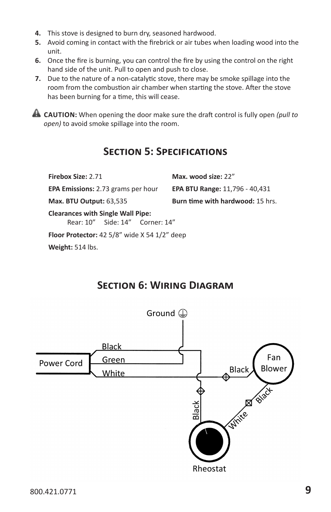- **4.** This stove is designed to burn dry, seasoned hardwood.
- **5.** Avoid coming in contact with the firebrick or air tubes when loading wood into the unit.
- **6.** Once the fire is burning, you can control the fire by using the control on the right hand side of the unit. Pull to open and push to close.
- **7.** Due to the nature of a non-catalytic stove, there may be smoke spillage into the room from the combustion air chamber when starting the stove. After the stove has been burning for a time, this will cease.

**CAUTION:** When opening the door make sure the draft control is fully open *(pull to open)* to avoid smoke spillage into the room.

### **Section 5: Specifications**

| Firebox Size: 2.71                        | Max. wood size: 22"                     |
|-------------------------------------------|-----------------------------------------|
| <b>EPA Emissions: 2.73 grams per hour</b> | <b>EPA BTU Range: 11,796 - 40,431</b>   |
| <b>Max. BTU Output: 63,535</b>            | <b>Burn time with hardwood: 15 hrs.</b> |
| <b>Clearances with Single Wall Pipe:</b>  |                                         |

Rear: 10" Side: 14" Corner: 14"

**Floor Protector:** 42 5/8" wide X 54 1/2" deep

**Weight:** 514 lbs.

## **Section 6: Wiring Diagram**

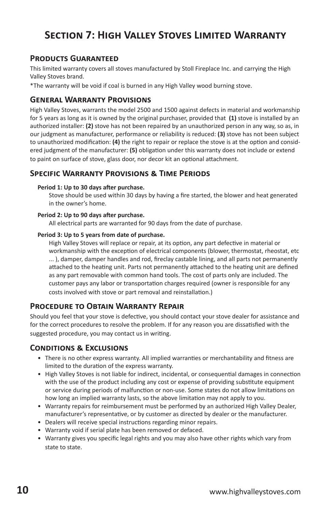## **Section 7: High Valley Stoves Limited Warranty**

#### **Products Guaranteed**

This limited warranty covers all stoves manufactured by Stoll Fireplace Inc. and carrying the High Valley Stoves brand.

\*The warranty will be void if coal is burned in any High Valley wood burning stove.

#### **General Warranty Provisions**

High Valley Stoves, warrants the model 2500 and 1500 against defects in material and workmanship for 5 years as long as it is owned by the original purchaser, provided that **(1)** stove is installed by an authorized installer: **(2)** stove has not been repaired by an unauthorized person in any way, so as, in our judgment as manufacturer, performance or reliability is reduced: **(3)** stove has not been subject to unauthorized modification: **(4)** the right to repair or replace the stove is at the option and considered judgment of the manufacturer: **(5)** obligation under this warranty does not include or extend to paint on surface of stove, glass door, nor decor kit an optional attachment.

#### **Specific Warranty Provisions & Time Periods**

#### **Period 1: Up to 30 days after purchase.**

Stove should be used within 30 days by having a fire started, the blower and heat generated in the owner's home.

#### **Period 2: Up to 90 days after purchase.**

All electrical parts are warranted for 90 days from the date of purchase.

#### **Period 3: Up to 5 years from date of purchase.**

High Valley Stoves will replace or repair, at its option, any part defective in material or workmanship with the exception of electrical components (blower, thermostat, rheostat, etc ... ), damper, damper handles and rod, fireclay castable lining, and all parts not permanently attached to the heating unit. Parts not permanently attached to the heating unit are defined as any part removable with common hand tools. The cost of parts only are included. The customer pays any labor or transportation charges required (owner is responsible for any costs involved with stove or part removal and reinstallation.)

#### **Procedure to Obtain Warranty Repair**

Should you feel that your stove is defective, you should contact your stove dealer for assistance and for the correct procedures to resolve the problem. If for any reason you are dissatisfied with the suggested procedure, you may contact us in writing.

#### **Conditions & Exclusions**

- There is no other express warranty. All implied warranties or merchantability and fitness are limited to the duration of the express warranty.
- High Valley Stoves is not liable for indirect, incidental, or consequential damages in connection with the use of the product including any cost or expense of providing substitute equipment or service during periods of malfunction or non-use. Some states do not allow limitations on how long an implied warranty lasts, so the above limitation may not apply to you.
- Warranty repairs for reimbursement must be performed by an authorized High Valley Dealer, manufacturer's representative, or by customer as directed by dealer or the manufacturer.
- Dealers will receive special instructions regarding minor repairs.
- Warranty void if serial plate has been removed or defaced.
- Warranty gives you specific legal rights and you may also have other rights which vary from state to state.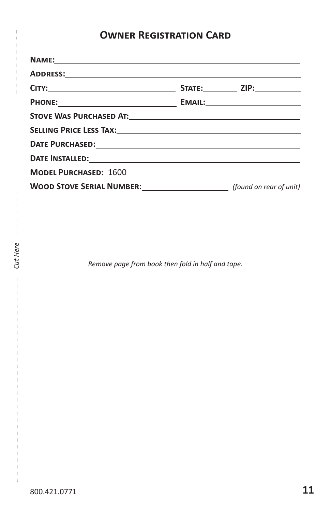## **Owner Registration Card**

| DATE INSTALLED: The annual contract of the state of the state of the state of the state of the state of the state of the state of the state of the state of the state of the state of the state of the state of the state of t |  |
|--------------------------------------------------------------------------------------------------------------------------------------------------------------------------------------------------------------------------------|--|
| <b>MODEL PURCHASED: 1600</b>                                                                                                                                                                                                   |  |
| WOOD STOVE SERIAL NUMBER: <i>[found on rear of unit]</i>                                                                                                                                                                       |  |

*Remove page from book then fold in half and tape.* 

 $\overline{\phantom{a}}$  $\overline{1}$ 

*Cut Here*

 $\bar{1}$  $\mathbf{I}$  $\mathbf{I}$  $\overline{1}$  $\overline{1}$  $\mathbf{I}$  $\mathbf{I}$ 

Cut Here

 $\overline{1}$  $\overline{1}$  $\overline{1}$  $\overline{1}$  $\mathbb{I}$  $\bar{\bar{1}}$ 

 $\bar{1}$  $\overline{1}$  $\overline{\phantom{a}}$  $\overline{\phantom{a}}$  $\mathbf{I}$